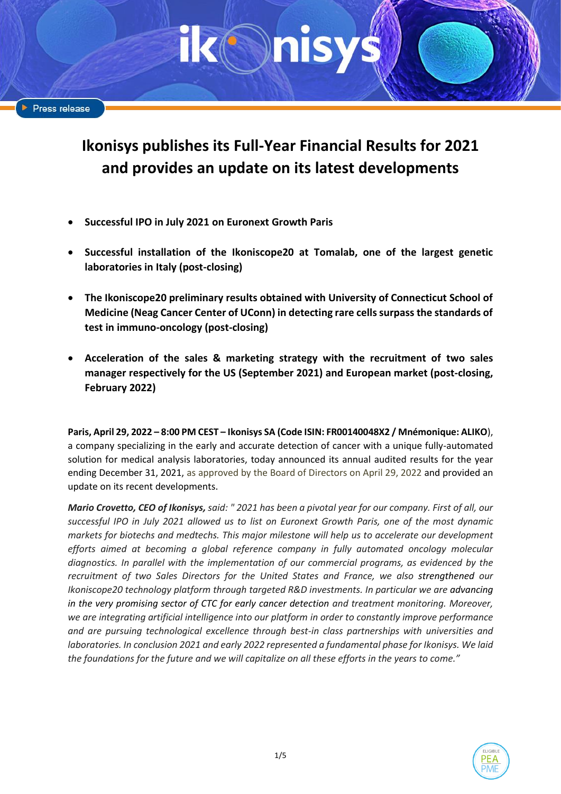# **Ikonisys publishes its Full-Year Financial Results for 2021 and provides an update on its latest developments**

- **Successful IPO in July 2021 on Euronext Growth Paris**
- **Successful installation of the Ikoniscope20 at Tomalab, one of the largest genetic laboratories in Italy (post-closing)**
- **The Ikoniscope20 preliminary results obtained with University of Connecticut School of Medicine (Neag Cancer Center of UConn) in detecting rare cells surpass the standards of test in immuno-oncology (post-closing)**
- **Acceleration of the sales & marketing strategy with the recruitment of two sales manager respectively for the US (September 2021) and European market (post-closing, February 2022)**

**Paris, April 29, 2022 – 8:00 PM CEST – Ikonisys SA (Code ISIN: FR00140048X2 / Mnémonique: ALIKO**), a company specializing in the early and accurate detection of cancer with a unique fully-automated solution for medical analysis laboratories, today announced its annual audited results for the year ending December 31, 2021, as approved by the Board of Directors on April 29, 2022 and provided an update on its recent developments.

*Mario Crovetto, CEO of Ikonisys, said: " 2021 has been a pivotal year for our company. First of all, our successful IPO in July 2021 allowed us to list on Euronext Growth Paris, one of the most dynamic markets for biotechs and medtechs. This major milestone will help us to accelerate our development efforts aimed at becoming a global reference company in fully automated oncology molecular diagnostics. In parallel with the implementation of our commercial programs, as evidenced by the recruitment of two Sales Directors for the United States and France, we also strengthened our Ikoniscope20 technology platform through targeted R&D investments. In particular we are advancing in the very promising sector of CTC for early cancer detection and treatment monitoring. Moreover, we are integrating artificial intelligence into our platform in order to constantly improve performance and are pursuing technological excellence through best-in class partnerships with universities and laboratories. In conclusion 2021 and early 2022 represented a fundamental phase for Ikonisys. We laid the foundations for the future and we will capitalize on all these efforts in the years to come."* 

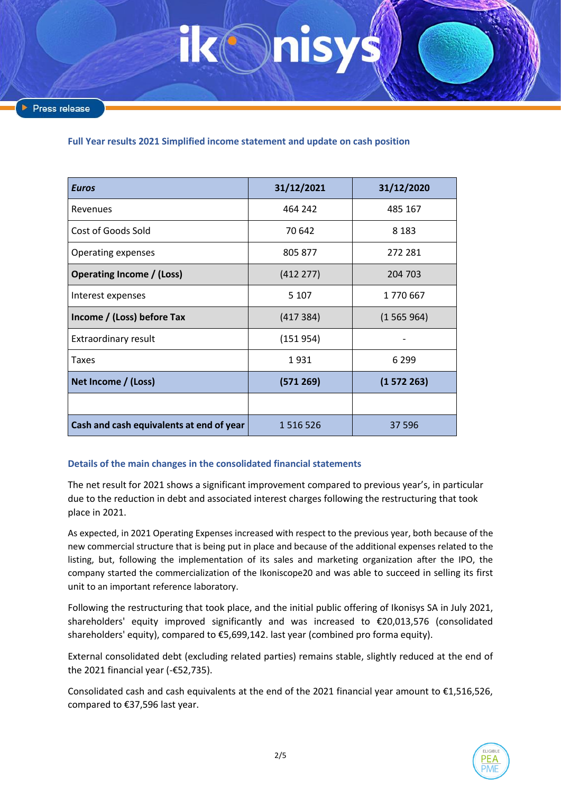**Full Year results 2021 Simplified income statement and update on cash position** 

| <b>Euros</b>                             | 31/12/2021 | 31/12/2020 |
|------------------------------------------|------------|------------|
| Revenues                                 | 464 242    | 485 167    |
| Cost of Goods Sold                       | 70 642     | 8 1 8 3    |
| Operating expenses                       | 805 877    | 272 281    |
| <b>Operating Income / (Loss)</b>         | (412 277)  | 204 703    |
| Interest expenses                        | 5 1 0 7    | 1770667    |
| Income / (Loss) before Tax               | (417384)   | (1565964)  |
| Extraordinary result                     | (151954)   |            |
| Taxes                                    | 1931       | 6 2 9 9    |
| Net Income / (Loss)                      | (571269)   | (1572263)  |
|                                          |            |            |
| Cash and cash equivalents at end of year | 1516526    | 37 596     |

# **Details of the main changes in the consolidated financial statements**

The net result for 2021 shows a significant improvement compared to previous year's, in particular due to the reduction in debt and associated interest charges following the restructuring that took place in 2021.

As expected, in 2021 Operating Expenses increased with respect to the previous year, both because of the new commercial structure that is being put in place and because of the additional expenses related to the listing, but, following the implementation of its sales and marketing organization after the IPO, the company started the commercialization of the Ikoniscope20 and was able to succeed in selling its first unit to an important reference laboratory.

Following the restructuring that took place, and the initial public offering of Ikonisys SA in July 2021, shareholders' equity improved significantly and was increased to €20,013,576 (consolidated shareholders' equity), compared to €5,699,142. last year (combined pro forma equity).

External consolidated debt (excluding related parties) remains stable, slightly reduced at the end of the 2021 financial year (-€52,735).

Consolidated cash and cash equivalents at the end of the 2021 financial year amount to  $\epsilon$ 1,516,526, compared to €37,596 last year.

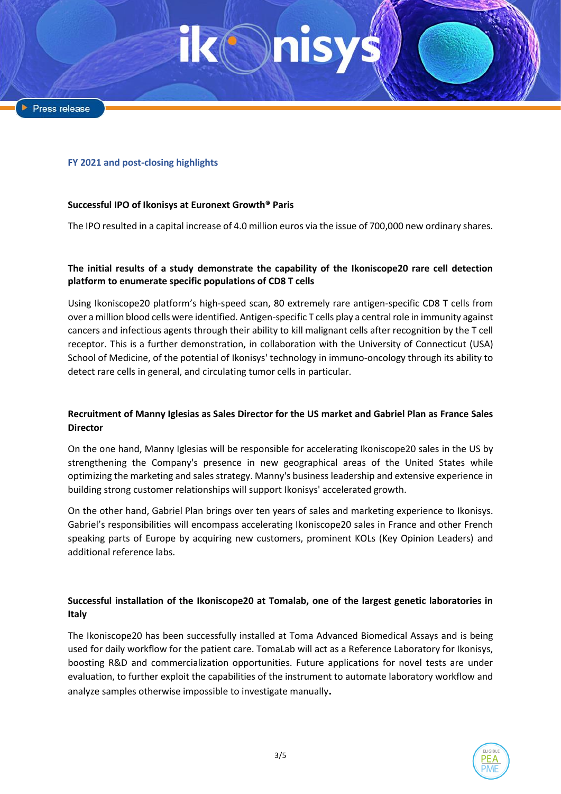### **FY 2021 and post-closing highlights**

# **Successful IPO of Ikonisys at Euronext Growth® Paris**

The IPO resulted in a capital increase of 4.0 million euros via the issue of 700,000 new ordinary shares.

# **The initial results of a study demonstrate the capability of the Ikoniscope20 rare cell detection platform to enumerate specific populations of CD8 T cells**

Using Ikoniscope20 platform's high-speed scan, 80 extremely rare antigen-specific CD8 T cells from over a million blood cells were identified. Antigen-specific T cells play a central role in immunity against cancers and infectious agents through their ability to kill malignant cells after recognition by the T cell receptor. This is a further demonstration, in collaboration with the University of Connecticut (USA) School of Medicine, of the potential of Ikonisys' technology in immuno-oncology through its ability to detect rare cells in general, and circulating tumor cells in particular.

# **Recruitment of Manny Iglesias as Sales Director for the US market and Gabriel Plan as France Sales Director**

On the one hand, Manny Iglesias will be responsible for accelerating Ikoniscope20 sales in the US by strengthening the Company's presence in new geographical areas of the United States while optimizing the marketing and sales strategy. Manny's business leadership and extensive experience in building strong customer relationships will support Ikonisys' accelerated growth.

On the other hand, Gabriel Plan brings over ten years of sales and marketing experience to Ikonisys. Gabriel's responsibilities will encompass accelerating Ikoniscope20 sales in France and other French speaking parts of Europe by acquiring new customers, prominent KOLs (Key Opinion Leaders) and additional reference labs.

# **Successful installation of the Ikoniscope20 at Tomalab, one of the largest genetic laboratories in Italy**

The Ikoniscope20 has been successfully installed at Toma Advanced Biomedical Assays and is being used for daily workflow for the patient care. TomaLab will act as a Reference Laboratory for Ikonisys, boosting R&D and commercialization opportunities. Future applications for novel tests are under evaluation, to further exploit the capabilities of the instrument to automate laboratory workflow and analyze samples otherwise impossible to investigate manually**.**

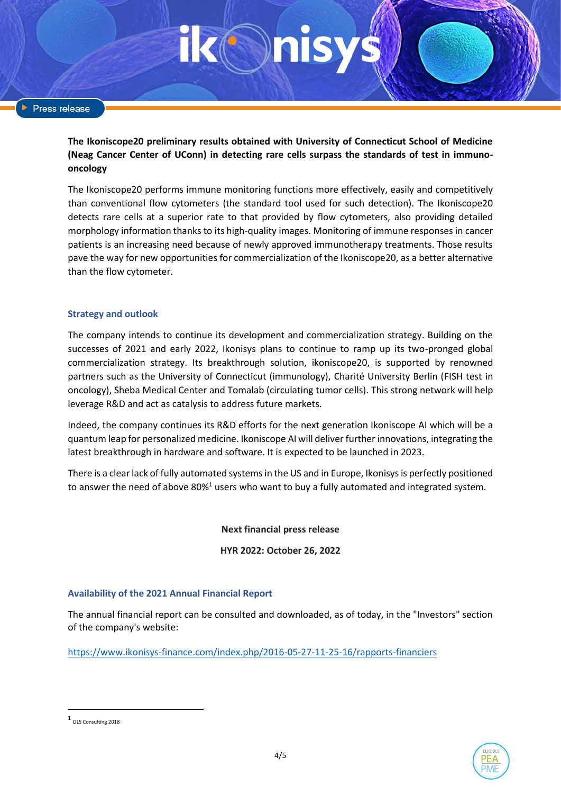**The Ikoniscope20 preliminary results obtained with University of Connecticut School of Medicine (Neag Cancer Center of UConn) in detecting rare cells surpass the standards of test in immunooncology**

The Ikoniscope20 performs immune monitoring functions more effectively, easily and competitively than conventional flow cytometers (the standard tool used for such detection). The Ikoniscope20 detects rare cells at a superior rate to that provided by flow cytometers, also providing detailed morphology information thanks to its high-quality images. Monitoring of immune responses in cancer patients is an increasing need because of newly approved immunotherapy treatments. Those results pave the way for new opportunities for commercialization of the Ikoniscope20, as a better alternative than the flow cytometer.

# **Strategy and outlook**

The company intends to continue its development and commercialization strategy. Building on the successes of 2021 and early 2022, Ikonisys plans to continue to ramp up its two-pronged global commercialization strategy. Its breakthrough solution, ikoniscope20, is supported by renowned partners such as the University of Connecticut (immunology), Charité University Berlin (FISH test in oncology), Sheba Medical Center and Tomalab (circulating tumor cells). This strong network will help leverage R&D and act as catalysis to address future markets.

Indeed, the company continues its R&D efforts for the next generation Ikoniscope AI which will be a quantum leap for personalized medicine. Ikoniscope AI will deliver further innovations, integrating the latest breakthrough in hardware and software. It is expected to be launched in 2023.

There is a clear lack of fully automated systems in the US and in Europe, Ikonisys is perfectly positioned to answer the need of above 80%<sup>1</sup> users who want to buy a fully automated and integrated system.

**Next financial press release**

**HYR 2022: October 26, 2022**

### **Availability of the 2021 Annual Financial Report**

The annual financial report can be consulted and downloaded, as of today, in the "Investors" section of the company's website:

<https://www.ikonisys-finance.com/index.php/2016-05-27-11-25-16/rapports-financiers>



<sup>1</sup> DLS Consulting 2018